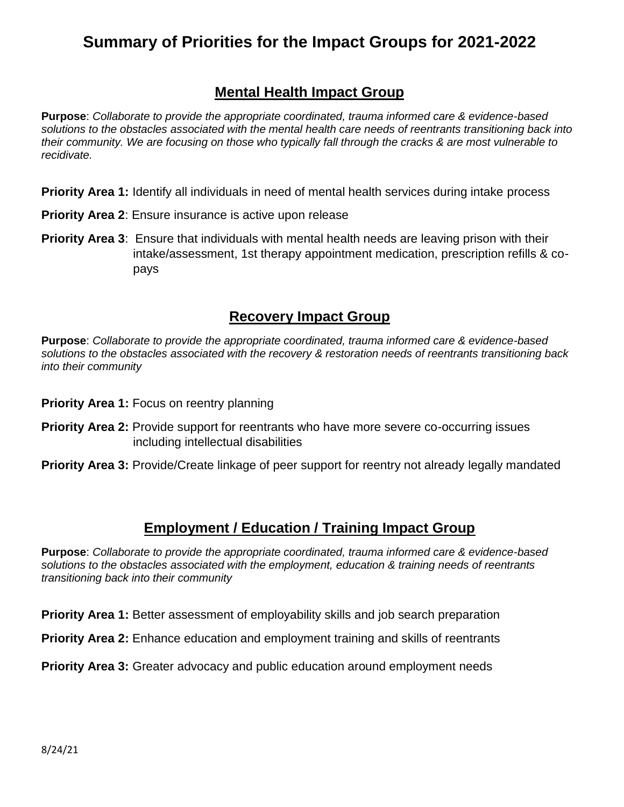## **Summary of Priorities for the Impact Groups for 2021-2022**

## **Mental Health Impact Group**

**Purpose**: *Collaborate to provide the appropriate coordinated, trauma informed care & evidence-based solutions to the obstacles associated with the mental health care needs of reentrants transitioning back into their community. We are focusing on those who typically fall through the cracks & are most vulnerable to recidivate.* 

**Priority Area 1:** Identify all individuals in need of mental health services during intake process

- **Priority Area 2:** Ensure insurance is active upon release
- **Priority Area 3**: Ensure that individuals with mental health needs are leaving prison with their intake/assessment, 1st therapy appointment medication, prescription refills & copays

### **Recovery Impact Group**

**Purpose**: *Collaborate to provide the appropriate coordinated, trauma informed care & evidence-based solutions to the obstacles associated with the recovery & restoration needs of reentrants transitioning back into their community*

- **Priority Area 1: Focus on reentry planning**
- **Priority Area 2:** Provide support for reentrants who have more severe co-occurring issues including intellectual disabilities
- **Priority Area 3:** Provide/Create linkage of peer support for reentry not already legally mandated

### **Employment / Education / Training Impact Group**

**Purpose**: *Collaborate to provide the appropriate coordinated, trauma informed care & evidence-based solutions to the obstacles associated with the employment, education & training needs of reentrants transitioning back into their community*

**Priority Area 1:** Better assessment of employability skills and job search preparation

**Priority Area 2:** Enhance education and employment training and skills of reentrants

**Priority Area 3:** Greater advocacy and public education around employment needs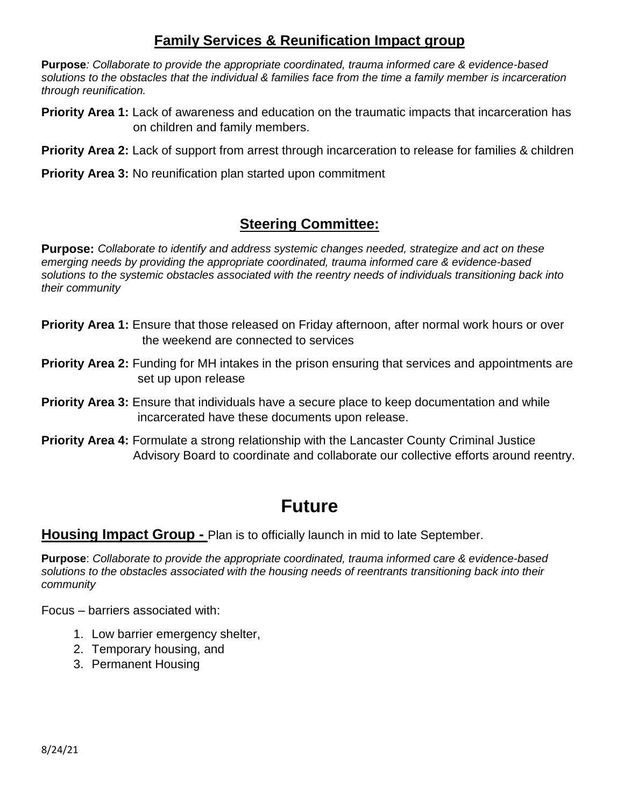## **Family Services & Reunification Impact group**

**Purpose***: Collaborate to provide the appropriate coordinated, trauma informed care & evidence-based solutions to the obstacles that the individual & families face from the time a family member is incarceration through reunification.* 

**Priority Area 1:** Lack of awareness and education on the traumatic impacts that incarceration has on children and family members.

**Priority Area 2:** Lack of support from arrest through incarceration to release for families & children

**Priority Area 3:** No reunification plan started upon commitment

## **Steering Committee:**

**Purpose:** *Collaborate to identify and address systemic changes needed, strategize and act on these emerging needs by providing the appropriate coordinated, trauma informed care & evidence-based solutions to the systemic obstacles associated with the reentry needs of individuals transitioning back into their community*

- **Priority Area 1:** Ensure that those released on Friday afternoon, after normal work hours or over the weekend are connected to services
- **Priority Area 2:** Funding for MH intakes in the prison ensuring that services and appointments are set up upon release
- **Priority Area 3:** Ensure that individuals have a secure place to keep documentation and while incarcerated have these documents upon release.
- **Priority Area 4:** Formulate a strong relationship with the Lancaster County Criminal Justice Advisory Board to coordinate and collaborate our collective efforts around reentry.

# **Future**

**Housing Impact Group -** Plan is to officially launch in mid to late September.

**Purpose**: *Collaborate to provide the appropriate coordinated, trauma informed care & evidence-based solutions to the obstacles associated with the housing needs of reentrants transitioning back into their community*

Focus – barriers associated with:

- 1. Low barrier emergency shelter,
- 2. Temporary housing, and
- 3. Permanent Housing